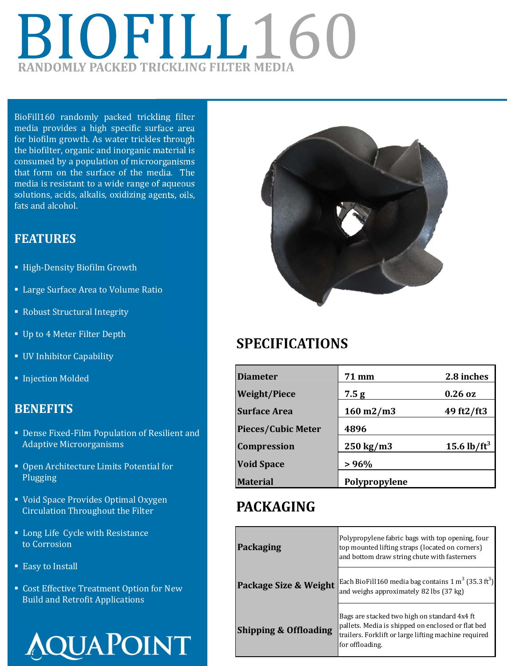# BIOFILL160 **RANDOMLY PACKED TRICKLING FILTER MEDIA**

BioFill160 randomly packed trickling filter media provides a high specific surface area for biofilm growth. As water trickles through the biofilter, organic and inorganic material is consumed by a population of microorganisms that form on the surface of the media. The media is resistant to a wide range of aqueous solutions, acids, alkalis, oxidizing agents, oils, fats and alcohol.

#### **FEATURES**

- **High-Density Biofilm Growth**
- **Example 3 Large Surface Area to Volume Ratio**
- Robust Structural Integrity
- **Up to 4 Meter Filter Depth**
- UV Inhibitor Capability
- **Injection Molded**

#### **BENEFITS**

- Dense Fixed-Film Population of Resilient and Adaptive Microorganisms
- Open Architecture Limits Potential for Plugging
- Void Space Provides Optimal Oxygen Circulation Throughout the Filter
- **Long Life Cycle with Resistance** to Corrosion
- Easy to Install
- Cost Effective Treatment Option for New Build and Retrofit Applications





## **SPECIFICATIONS**

| <b>Diameter</b>           | 71 mm                   | 2.8 inches      |
|---------------------------|-------------------------|-----------------|
| <b>Weight/Piece</b>       | 7.5g                    | $0.26$ oz       |
| <b>Surface Area</b>       | $160 \,\mathrm{m}$ 2/m3 | 49 ft2/ft3      |
| <b>Pieces/Cubic Meter</b> | 4896                    |                 |
| <b>Compression</b>        | $250 \text{ kg/m}$      | 15.6 lb/ $ft^3$ |
| <b>Void Space</b>         | >96%                    |                 |
| <b>Material</b>           | Polypropylene           |                 |

## **PACKAGING**

| <b>Packaging</b>                 | Polypropylene fabric bags with top opening, four<br>top mounted lifting straps (located on corners)<br>and bottom draw string chute with fasterners                          |  |
|----------------------------------|------------------------------------------------------------------------------------------------------------------------------------------------------------------------------|--|
| Package Size & Weight            | Each BioFill160 media bag contains 1 m <sup>3</sup> (35.3 ft <sup>3</sup> )<br>and weighs approximately 82 lbs (37 kg)                                                       |  |
| <b>Shipping &amp; Offloading</b> | Bags are stacked two high on standard 4x4 ft<br>pallets. Media is shipped on enclosed or flat bed<br>trailers. Forklift or large lifting machine required<br>for offloading. |  |